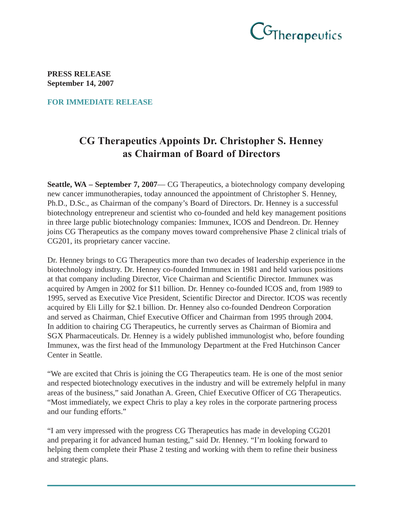

**PRESS RELEASE September 14, 2007**

**FOR IMMEDIATE RELEASE**

## CG Therapeutics Appoints Dr. Christopher S. Henney as Chairman of Board of Directors

**Seattle, WA – September 7, 2007**— CG Therapeutics, a biotechnology company developing new cancer immunotherapies, today announced the appointment of Christopher S. Henney, Ph.D., D.Sc., as Chairman of the company's Board of Directors. Dr. Henney is a successful biotechnology entrepreneur and scientist who co-founded and held key management positions in three large public biotechnology companies: Immunex, ICOS and Dendreon. Dr. Henney joins CG Therapeutics as the company moves toward comprehensive Phase 2 clinical trials of CG201, its proprietary cancer vaccine.

Dr. Henney brings to CG Therapeutics more than two decades of leadership experience in the biotechnology industry. Dr. Henney co-founded Immunex in 1981 and held various positions at that company including Director, Vice Chairman and Scientific Director. Immunex was acquired by Amgen in 2002 for \$11 billion. Dr. Henney co-founded ICOS and, from 1989 to 1995, served as Executive Vice President, Scientific Director and Director. ICOS was recently acquired by Eli Lilly for \$2.1 billion. Dr. Henney also co-founded Dendreon Corporation and served as Chairman, Chief Executive Officer and Chairman from 1995 through 2004. In addition to chairing CG Therapeutics, he currently serves as Chairman of Biomira and SGX Pharmaceuticals. Dr. Henney is a widely published immunologist who, before founding Immunex, was the first head of the Immunology Department at the Fred Hutchinson Cancer Center in Seattle.

"We are excited that Chris is joining the CG Therapeutics team. He is one of the most senior and respected biotechnology executives in the industry and will be extremely helpful in many areas of the business," said Jonathan A. Green, Chief Executive Officer of CG Therapeutics. "Most immediately, we expect Chris to play a key roles in the corporate partnering process and our funding efforts."

"I am very impressed with the progress CG Therapeutics has made in developing CG201 and preparing it for advanced human testing," said Dr. Henney. "I'm looking forward to helping them complete their Phase 2 testing and working with them to refine their business and strategic plans.